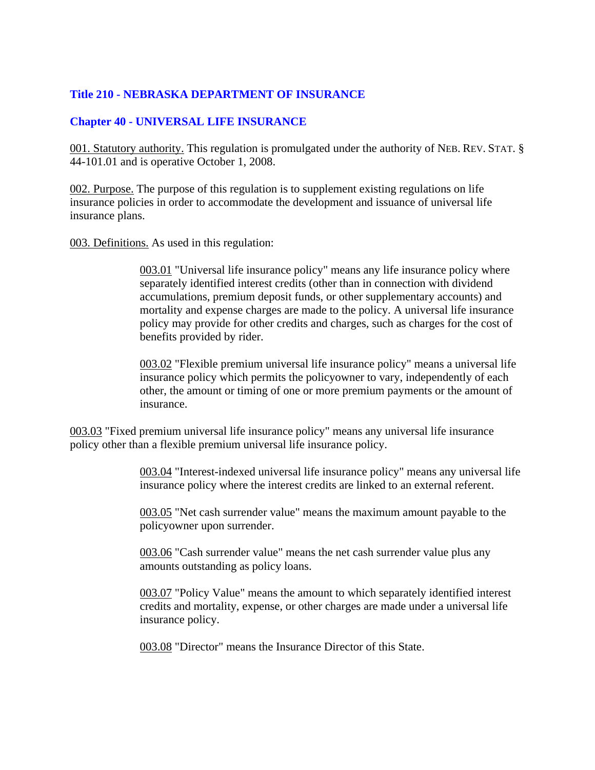# **Title 210 - NEBRASKA DEPARTMENT OF INSURANCE**

# **Chapter 40 - UNIVERSAL LIFE INSURANCE**

001. Statutory authority. This regulation is promulgated under the authority of NEB. REV. STAT. § 44-101.01 and is operative October 1, 2008.

002. Purpose. The purpose of this regulation is to supplement existing regulations on life insurance policies in order to accommodate the development and issuance of universal life insurance plans.

003. Definitions. As used in this regulation:

003.01 "Universal life insurance policy" means any life insurance policy where separately identified interest credits (other than in connection with dividend accumulations, premium deposit funds, or other supplementary accounts) and mortality and expense charges are made to the policy. A universal life insurance policy may provide for other credits and charges, such as charges for the cost of benefits provided by rider.

003.02 "Flexible premium universal life insurance policy" means a universal life insurance policy which permits the policyowner to vary, independently of each other, the amount or timing of one or more premium payments or the amount of insurance.

003.03 "Fixed premium universal life insurance policy" means any universal life insurance policy other than a flexible premium universal life insurance policy.

> 003.04 "Interest-indexed universal life insurance policy" means any universal life insurance policy where the interest credits are linked to an external referent.

003.05 "Net cash surrender value" means the maximum amount payable to the policyowner upon surrender.

003.06 "Cash surrender value" means the net cash surrender value plus any amounts outstanding as policy loans.

003.07 "Policy Value" means the amount to which separately identified interest credits and mortality, expense, or other charges are made under a universal life insurance policy.

003.08 "Director" means the Insurance Director of this State.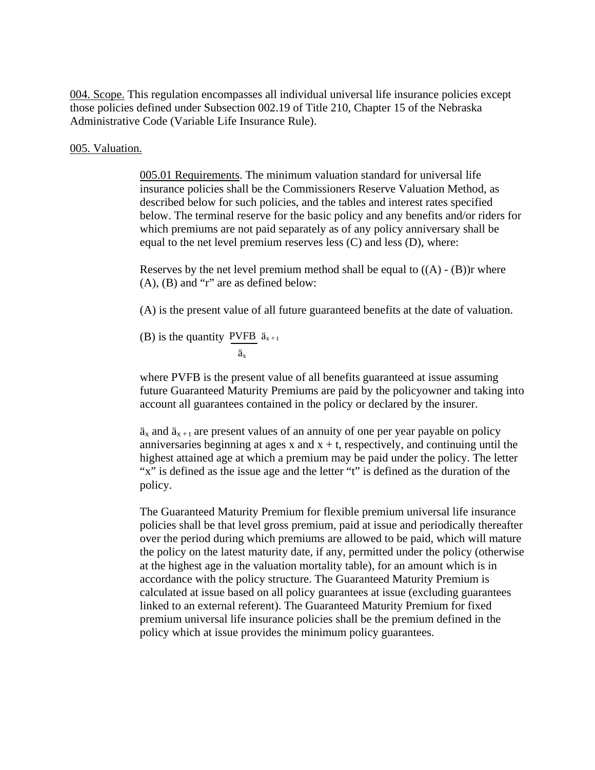004. Scope. This regulation encompasses all individual universal life insurance policies except those policies defined under Subsection 002.19 of Title 210, Chapter 15 of the Nebraska Administrative Code (Variable Life Insurance Rule).

#### 005. Valuation.

005.01 Requirements. The minimum valuation standard for universal life insurance policies shall be the Commissioners Reserve Valuation Method, as described below for such policies, and the tables and interest rates specified below. The terminal reserve for the basic policy and any benefits and/or riders for which premiums are not paid separately as of any policy anniversary shall be equal to the net level premium reserves less (C) and less (D), where:

Reserves by the net level premium method shall be equal to  $((A) - (B))r$  where (A), (B) and "r" are as defined below:

(A) is the present value of all future guaranteed benefits at the date of valuation.

(B) is the quantity PVFB  $\ddot{a}_{x+t}$ äx

where PVFB is the present value of all benefits guaranteed at issue assuming future Guaranteed Maturity Premiums are paid by the policyowner and taking into account all guarantees contained in the policy or declared by the insurer.

 $\ddot{a}_x$  and  $\ddot{a}_{x+t}$  are present values of an annuity of one per year payable on policy anniversaries beginning at ages x and  $x + t$ , respectively, and continuing until the highest attained age at which a premium may be paid under the policy. The letter "x" is defined as the issue age and the letter "t" is defined as the duration of the policy.

The Guaranteed Maturity Premium for flexible premium universal life insurance policies shall be that level gross premium, paid at issue and periodically thereafter over the period during which premiums are allowed to be paid, which will mature the policy on the latest maturity date, if any, permitted under the policy (otherwise at the highest age in the valuation mortality table), for an amount which is in accordance with the policy structure. The Guaranteed Maturity Premium is calculated at issue based on all policy guarantees at issue (excluding guarantees linked to an external referent). The Guaranteed Maturity Premium for fixed premium universal life insurance policies shall be the premium defined in the policy which at issue provides the minimum policy guarantees.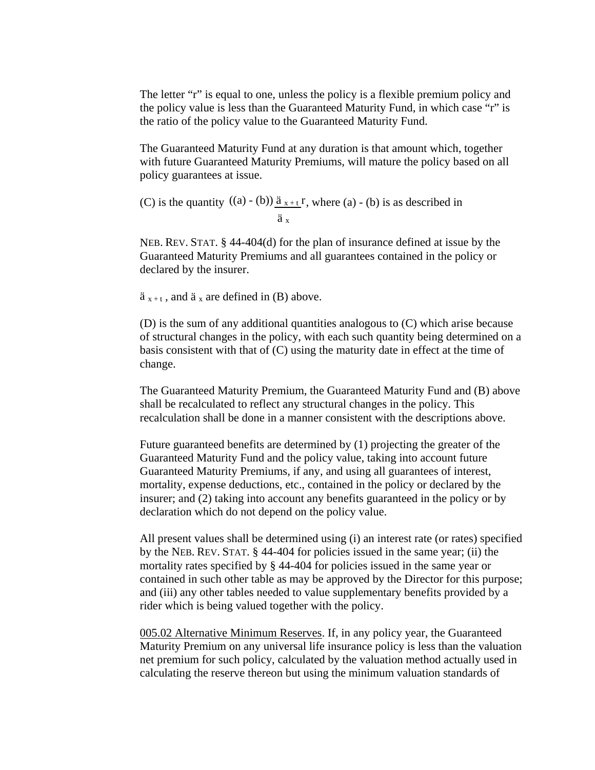The letter "r" is equal to one, unless the policy is a flexible premium policy and the policy value is less than the Guaranteed Maturity Fund, in which case "r" is the ratio of the policy value to the Guaranteed Maturity Fund.

The Guaranteed Maturity Fund at any duration is that amount which, together with future Guaranteed Maturity Premiums, will mature the policy based on all policy guarantees at issue.

(C) is the quantity  $((a) - (b)) \underline{\ddot{a}_{x+t}}r$ , where  $(a) - (b)$  is as described in ä x

NEB. REV. STAT. § 44-404(d) for the plan of insurance defined at issue by the Guaranteed Maturity Premiums and all guarantees contained in the policy or declared by the insurer.

 $\ddot{a}_{x+t}$ , and  $\ddot{a}_x$  are defined in (B) above.

(D) is the sum of any additional quantities analogous to (C) which arise because of structural changes in the policy, with each such quantity being determined on a basis consistent with that of (C) using the maturity date in effect at the time of change.

The Guaranteed Maturity Premium, the Guaranteed Maturity Fund and (B) above shall be recalculated to reflect any structural changes in the policy. This recalculation shall be done in a manner consistent with the descriptions above.

Future guaranteed benefits are determined by (1) projecting the greater of the Guaranteed Maturity Fund and the policy value, taking into account future Guaranteed Maturity Premiums, if any, and using all guarantees of interest, mortality, expense deductions, etc., contained in the policy or declared by the insurer; and (2) taking into account any benefits guaranteed in the policy or by declaration which do not depend on the policy value.

All present values shall be determined using (i) an interest rate (or rates) specified by the NEB. REV. STAT. § 44-404 for policies issued in the same year; (ii) the mortality rates specified by § 44-404 for policies issued in the same year or contained in such other table as may be approved by the Director for this purpose; and (iii) any other tables needed to value supplementary benefits provided by a rider which is being valued together with the policy.

005.02 Alternative Minimum Reserves. If, in any policy year, the Guaranteed Maturity Premium on any universal life insurance policy is less than the valuation net premium for such policy, calculated by the valuation method actually used in calculating the reserve thereon but using the minimum valuation standards of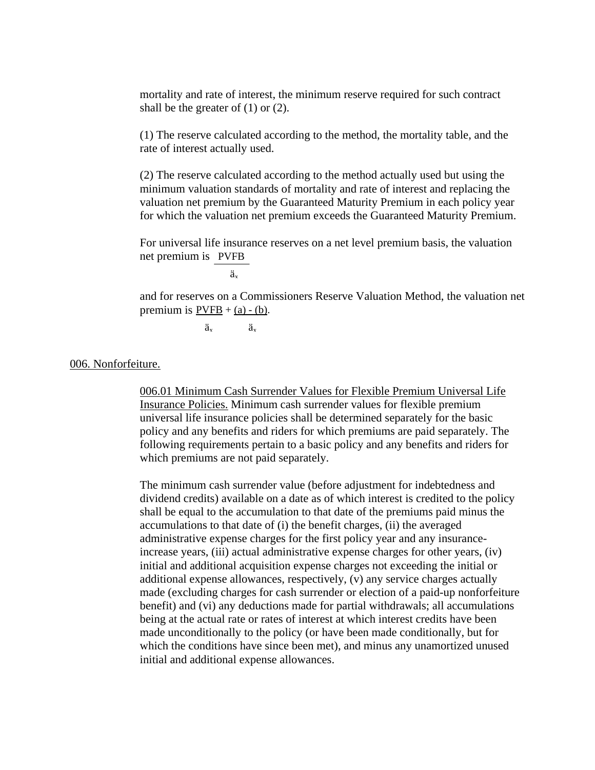mortality and rate of interest, the minimum reserve required for such contract shall be the greater of (1) or (2).

(1) The reserve calculated according to the method, the mortality table, and the rate of interest actually used.

(2) The reserve calculated according to the method actually used but using the minimum valuation standards of mortality and rate of interest and replacing the valuation net premium by the Guaranteed Maturity Premium in each policy year for which the valuation net premium exceeds the Guaranteed Maturity Premium.

net premium is PVFB For universal life insurance reserves on a net level premium basis, the valuation

ä<sub>x</sub>

and for reserves on a Commissioners Reserve Valuation Method, the valuation net premium is  $PVFB + (a) - (b)$ .

 $\ddot{a}_x$   $\dddot{a}_x$ 

006. Nonforfeiture.

006.01 Minimum Cash Surrender Values for Flexible Premium Universal Life Insurance Policies. Minimum cash surrender values for flexible premium universal life insurance policies shall be determined separately for the basic policy and any benefits and riders for which premiums are paid separately. The following requirements pertain to a basic policy and any benefits and riders for which premiums are not paid separately.

The minimum cash surrender value (before adjustment for indebtedness and dividend credits) available on a date as of which interest is credited to the policy shall be equal to the accumulation to that date of the premiums paid minus the accumulations to that date of (i) the benefit charges, (ii) the averaged administrative expense charges for the first policy year and any insuranceincrease years, (iii) actual administrative expense charges for other years, (iv) initial and additional acquisition expense charges not exceeding the initial or additional expense allowances, respectively, (v) any service charges actually made (excluding charges for cash surrender or election of a paid-up nonforfeiture benefit) and (vi) any deductions made for partial withdrawals; all accumulations being at the actual rate or rates of interest at which interest credits have been made unconditionally to the policy (or have been made conditionally, but for which the conditions have since been met), and minus any unamortized unused initial and additional expense allowances.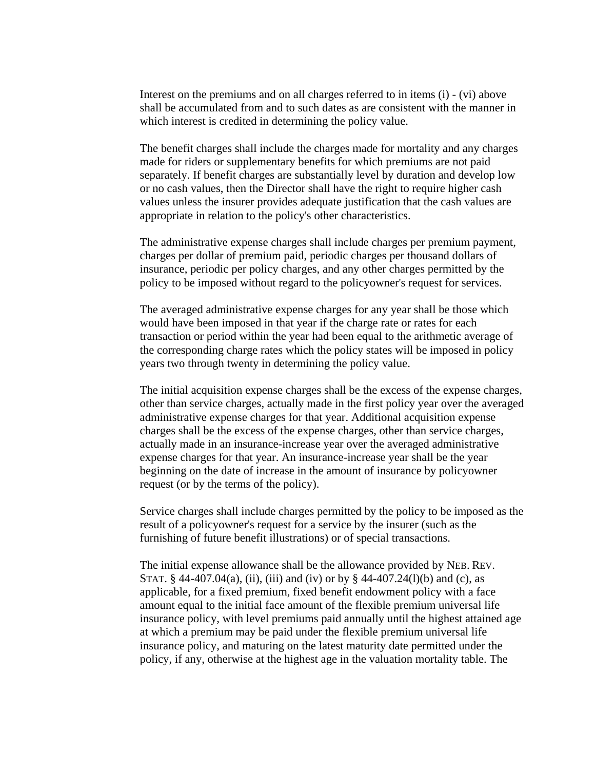Interest on the premiums and on all charges referred to in items (i) - (vi) above shall be accumulated from and to such dates as are consistent with the manner in which interest is credited in determining the policy value.

The benefit charges shall include the charges made for mortality and any charges made for riders or supplementary benefits for which premiums are not paid separately. If benefit charges are substantially level by duration and develop low or no cash values, then the Director shall have the right to require higher cash values unless the insurer provides adequate justification that the cash values are appropriate in relation to the policy's other characteristics.

The administrative expense charges shall include charges per premium payment, charges per dollar of premium paid, periodic charges per thousand dollars of insurance, periodic per policy charges, and any other charges permitted by the policy to be imposed without regard to the policyowner's request for services.

The averaged administrative expense charges for any year shall be those which would have been imposed in that year if the charge rate or rates for each transaction or period within the year had been equal to the arithmetic average of the corresponding charge rates which the policy states will be imposed in policy years two through twenty in determining the policy value.

The initial acquisition expense charges shall be the excess of the expense charges, other than service charges, actually made in the first policy year over the averaged administrative expense charges for that year. Additional acquisition expense charges shall be the excess of the expense charges, other than service charges, actually made in an insurance-increase year over the averaged administrative expense charges for that year. An insurance-increase year shall be the year beginning on the date of increase in the amount of insurance by policyowner request (or by the terms of the policy).

Service charges shall include charges permitted by the policy to be imposed as the result of a policyowner's request for a service by the insurer (such as the furnishing of future benefit illustrations) or of special transactions.

The initial expense allowance shall be the allowance provided by NEB. REV. STAT. § 44-407.04(a), (ii), (iii) and (iv) or by § 44-407.24(l)(b) and (c), as applicable, for a fixed premium, fixed benefit endowment policy with a face amount equal to the initial face amount of the flexible premium universal life insurance policy, with level premiums paid annually until the highest attained age at which a premium may be paid under the flexible premium universal life insurance policy, and maturing on the latest maturity date permitted under the policy, if any, otherwise at the highest age in the valuation mortality table. The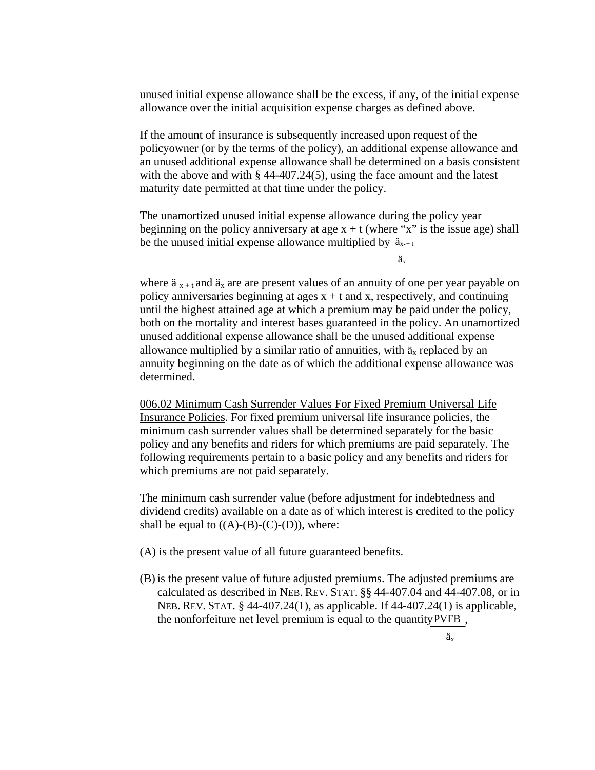unused initial expense allowance shall be the excess, if any, of the initial expense allowance over the initial acquisition expense charges as defined above.

If the amount of insurance is subsequently increased upon request of the policyowner (or by the terms of the policy), an additional expense allowance and an unused additional expense allowance shall be determined on a basis consistent with the above and with § 44-407.24(5), using the face amount and the latest maturity date permitted at that time under the policy.

The unamortized unused initial expense allowance during the policy year beginning on the policy anniversary at age  $x + t$  (where "x" is the issue age) shall be the unused initial expense allowance multiplied by  $\ddot{a}_{x+1}$ 

äx

where  $\ddot{a}_{x+t}$  and  $\ddot{a}_x$  are are present values of an annuity of one per year payable on policy anniversaries beginning at ages  $x + t$  and  $x$ , respectively, and continuing until the highest attained age at which a premium may be paid under the policy, both on the mortality and interest bases guaranteed in the policy. An unamortized unused additional expense allowance shall be the unused additional expense allowance multiplied by a similar ratio of annuities, with  $\ddot{a}_x$  replaced by an annuity beginning on the date as of which the additional expense allowance was determined.

006.02 Minimum Cash Surrender Values For Fixed Premium Universal Life Insurance Policies. For fixed premium universal life insurance policies, the minimum cash surrender values shall be determined separately for the basic policy and any benefits and riders for which premiums are paid separately. The following requirements pertain to a basic policy and any benefits and riders for which premiums are not paid separately.

The minimum cash surrender value (before adjustment for indebtedness and dividend credits) available on a date as of which interest is credited to the policy shall be equal to  $((A)-(B)-(C)-(D))$ , where:

- (A) is the present value of all future guaranteed benefits.
- (B) is the present value of future adjusted premiums. The adjusted premiums are calculated as described in NEB. REV. STAT. §§ 44-407.04 and 44-407.08, or in NEB. REV. STAT. § 44-407.24(1), as applicable. If 44-407.24(1) is applicable, the nonforfeiture net level premium is equal to the quantity  $PVFB$ ,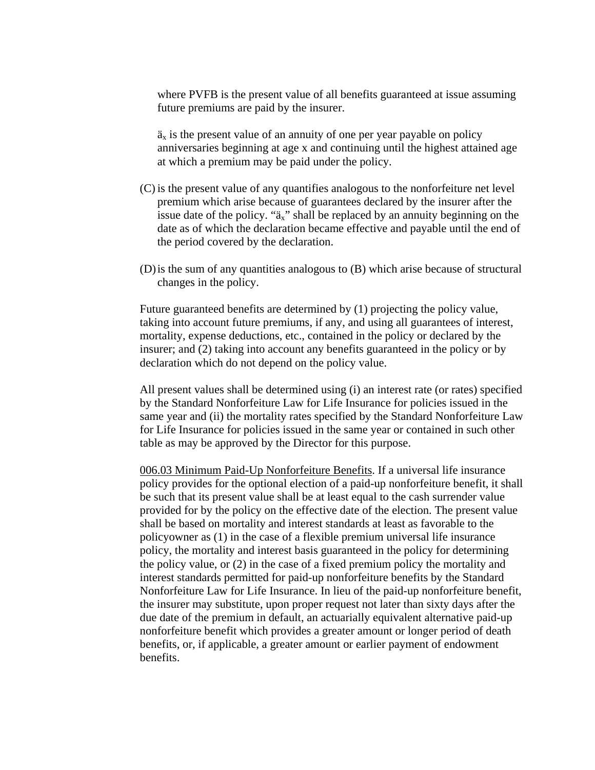where PVFB is the present value of all benefits guaranteed at issue assuming future premiums are paid by the insurer.

 $\ddot{a}_x$  is the present value of an annuity of one per year payable on policy anniversaries beginning at age x and continuing until the highest attained age at which a premium may be paid under the policy.

- (C) is the present value of any quantifies analogous to the nonforfeiture net level premium which arise because of guarantees declared by the insurer after the issue date of the policy. " $a_x$ " shall be replaced by an annuity beginning on the date as of which the declaration became effective and payable until the end of the period covered by the declaration.
- (D)is the sum of any quantities analogous to (B) which arise because of structural changes in the policy.

Future guaranteed benefits are determined by (1) projecting the policy value, taking into account future premiums, if any, and using all guarantees of interest, mortality, expense deductions, etc., contained in the policy or declared by the insurer; and (2) taking into account any benefits guaranteed in the policy or by declaration which do not depend on the policy value.

All present values shall be determined using (i) an interest rate (or rates) specified by the Standard Nonforfeiture Law for Life Insurance for policies issued in the same year and (ii) the mortality rates specified by the Standard Nonforfeiture Law for Life Insurance for policies issued in the same year or contained in such other table as may be approved by the Director for this purpose.

006.03 Minimum Paid-Up Nonforfeiture Benefits. If a universal life insurance policy provides for the optional election of a paid-up nonforfeiture benefit, it shall be such that its present value shall be at least equal to the cash surrender value provided for by the policy on the effective date of the election. The present value shall be based on mortality and interest standards at least as favorable to the policyowner as (1) in the case of a flexible premium universal life insurance policy, the mortality and interest basis guaranteed in the policy for determining the policy value, or (2) in the case of a fixed premium policy the mortality and interest standards permitted for paid-up nonforfeiture benefits by the Standard Nonforfeiture Law for Life Insurance. In lieu of the paid-up nonforfeiture benefit, the insurer may substitute, upon proper request not later than sixty days after the due date of the premium in default, an actuarially equivalent alternative paid-up nonforfeiture benefit which provides a greater amount or longer period of death benefits, or, if applicable, a greater amount or earlier payment of endowment benefits.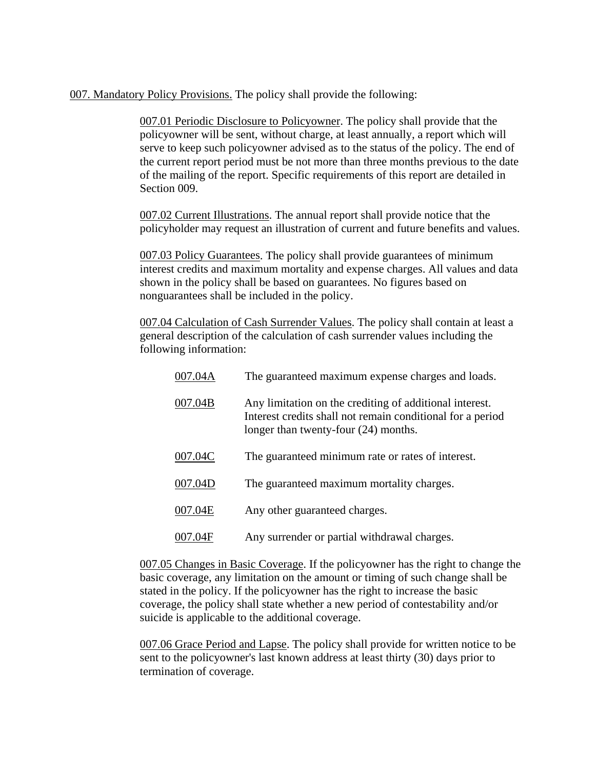007. Mandatory Policy Provisions. The policy shall provide the following:

007.01 Periodic Disclosure to Policyowner. The policy shall provide that the policyowner will be sent, without charge, at least annually, a report which will serve to keep such policyowner advised as to the status of the policy. The end of the current report period must be not more than three months previous to the date of the mailing of the report. Specific requirements of this report are detailed in Section 009.

007.02 Current Illustrations. The annual report shall provide notice that the policyholder may request an illustration of current and future benefits and values.

007.03 Policy Guarantees. The policy shall provide guarantees of minimum interest credits and maximum mortality and expense charges. All values and data shown in the policy shall be based on guarantees. No figures based on nonguarantees shall be included in the policy.

007.04 Calculation of Cash Surrender Values. The policy shall contain at least a general description of the calculation of cash surrender values including the following information:

| 007.04A | The guaranteed maximum expense charges and loads.                                                                                                             |
|---------|---------------------------------------------------------------------------------------------------------------------------------------------------------------|
| 007.04B | Any limitation on the crediting of additional interest.<br>Interest credits shall not remain conditional for a period<br>longer than twenty-four (24) months. |
| 007.04C | The guaranteed minimum rate or rates of interest.                                                                                                             |
| 007.04D | The guaranteed maximum mortality charges.                                                                                                                     |
| 007.04E | Any other guaranteed charges.                                                                                                                                 |
| 007.04F | Any surrender or partial withdrawal charges.                                                                                                                  |

007.05 Changes in Basic Coverage. If the policyowner has the right to change the basic coverage, any limitation on the amount or timing of such change shall be stated in the policy. If the policyowner has the right to increase the basic coverage, the policy shall state whether a new period of contestability and/or suicide is applicable to the additional coverage.

007.06 Grace Period and Lapse. The policy shall provide for written notice to be sent to the policyowner's last known address at least thirty (30) days prior to termination of coverage.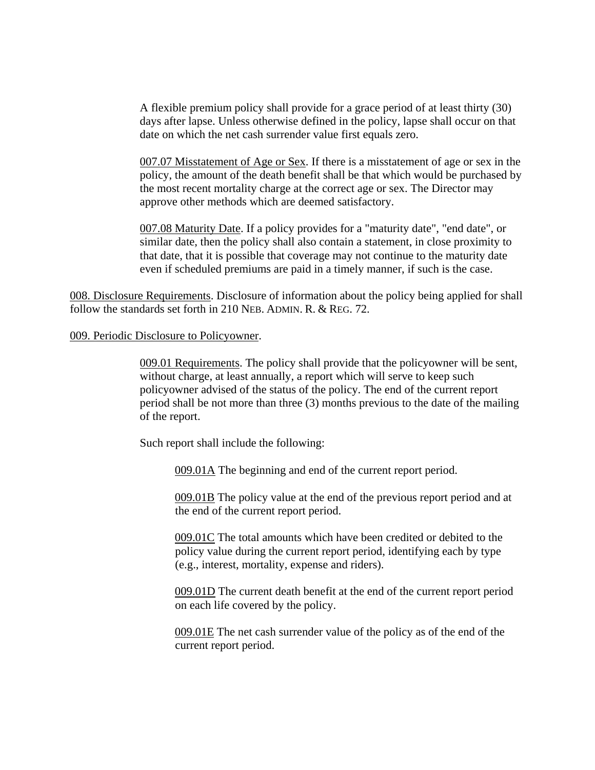A flexible premium policy shall provide for a grace period of at least thirty (30) days after lapse. Unless otherwise defined in the policy, lapse shall occur on that date on which the net cash surrender value first equals zero.

007.07 Misstatement of Age or Sex. If there is a misstatement of age or sex in the policy, the amount of the death benefit shall be that which would be purchased by the most recent mortality charge at the correct age or sex. The Director may approve other methods which are deemed satisfactory.

007.08 Maturity Date. If a policy provides for a "maturity date", "end date", or similar date, then the policy shall also contain a statement, in close proximity to that date, that it is possible that coverage may not continue to the maturity date even if scheduled premiums are paid in a timely manner, if such is the case.

008. Disclosure Requirements. Disclosure of information about the policy being applied for shall follow the standards set forth in 210 NEB. ADMIN. R. & REG. 72.

#### 009. Periodic Disclosure to Policyowner.

009.01 Requirements. The policy shall provide that the policyowner will be sent, without charge, at least annually, a report which will serve to keep such policyowner advised of the status of the policy. The end of the current report period shall be not more than three (3) months previous to the date of the mailing of the report.

Such report shall include the following:

009.01A The beginning and end of the current report period.

009.01B The policy value at the end of the previous report period and at the end of the current report period.

009.01C The total amounts which have been credited or debited to the policy value during the current report period, identifying each by type (e.g., interest, mortality, expense and riders).

009.01D The current death benefit at the end of the current report period on each life covered by the policy.

009.01E The net cash surrender value of the policy as of the end of the current report period.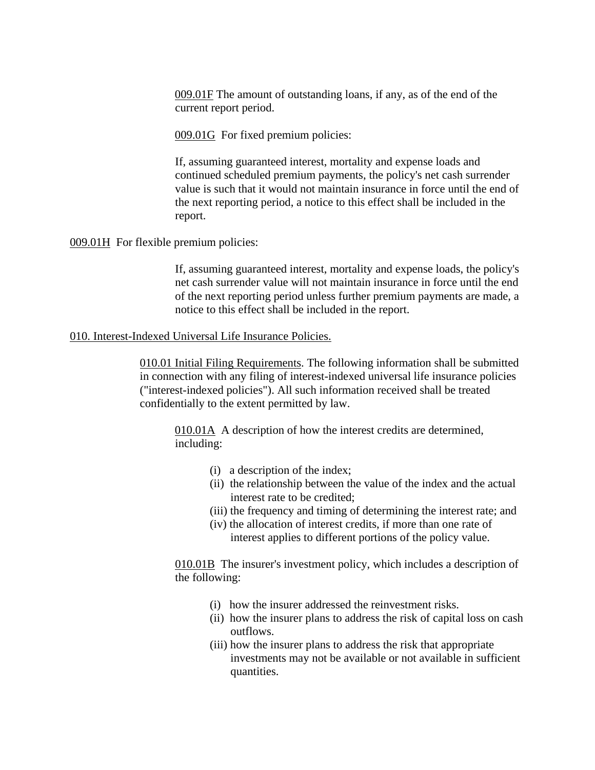009.01F The amount of outstanding loans, if any, as of the end of the current report period.

009.01G For fixed premium policies:

If, assuming guaranteed interest, mortality and expense loads and continued scheduled premium payments, the policy's net cash surrender value is such that it would not maintain insurance in force until the end of the next reporting period, a notice to this effect shall be included in the report.

## 009.01H For flexible premium policies:

If, assuming guaranteed interest, mortality and expense loads, the policy's net cash surrender value will not maintain insurance in force until the end of the next reporting period unless further premium payments are made, a notice to this effect shall be included in the report.

## 010. Interest-Indexed Universal Life Insurance Policies.

010.01 Initial Filing Requirements. The following information shall be submitted in connection with any filing of interest-indexed universal life insurance policies ("interest-indexed policies"). All such information received shall be treated confidentially to the extent permitted by law.

010.01A A description of how the interest credits are determined, including:

- (i) a description of the index;
- (ii) the relationship between the value of the index and the actual interest rate to be credited;
- (iii) the frequency and timing of determining the interest rate; and
- (iv) the allocation of interest credits, if more than one rate of interest applies to different portions of the policy value.

010.01B The insurer's investment policy, which includes a description of the following:

- (i) how the insurer addressed the reinvestment risks.
- (ii) how the insurer plans to address the risk of capital loss on cash outflows.
- (iii) how the insurer plans to address the risk that appropriate investments may not be available or not available in sufficient quantities.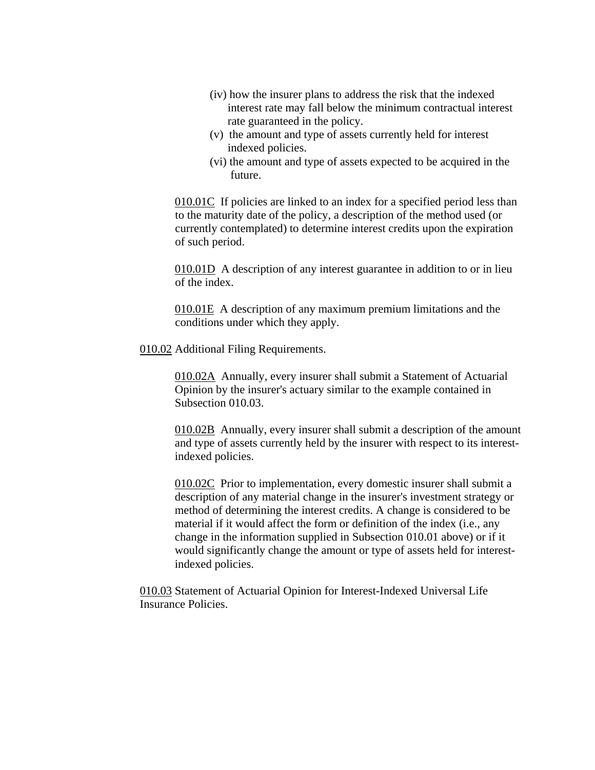- (iv) how the insurer plans to address the risk that the indexed interest rate may fall below the minimum contractual interest rate guaranteed in the policy.
- (v) the amount and type of assets currently held for interest indexed policies.
- (vi) the amount and type of assets expected to be acquired in the future.

010.01C If policies are linked to an index for a specified period less than to the maturity date of the policy, a description of the method used (or currently contemplated) to determine interest credits upon the expiration of such period.

010.01D A description of any interest guarantee in addition to or in lieu of the index.

010.01E A description of any maximum premium limitations and the conditions under which they apply.

010.02 Additional Filing Requirements.

010.02A Annually, every insurer shall submit a Statement of Actuarial Opinion by the insurer's actuary similar to the example contained in Subsection 010.03.

010.02B Annually, every insurer shall submit a description of the amount and type of assets currently held by the insurer with respect to its interestindexed policies.

010.02C Prior to implementation, every domestic insurer shall submit a description of any material change in the insurer's investment strategy or method of determining the interest credits. A change is considered to be material if it would affect the form or definition of the index (i.e., any change in the information supplied in Subsection 010.01 above) or if it would significantly change the amount or type of assets held for interestindexed policies.

010.03 Statement of Actuarial Opinion for Interest-Indexed Universal Life Insurance Policies.